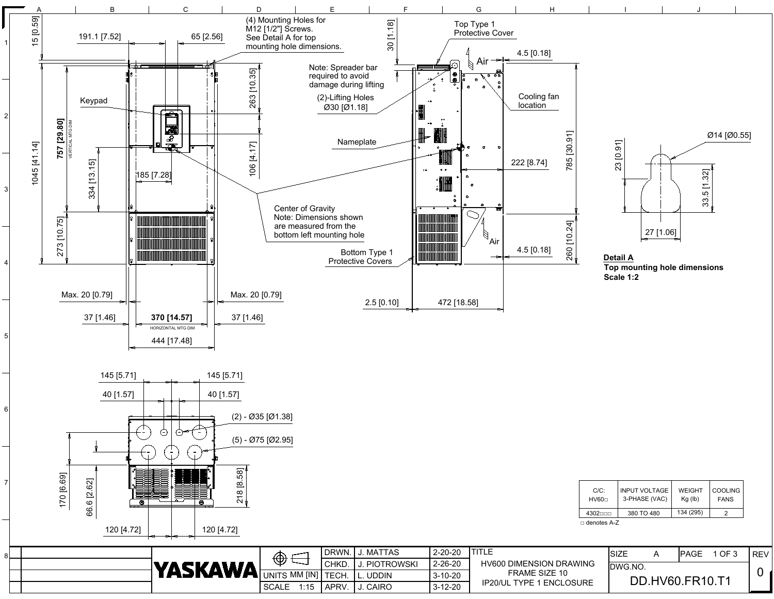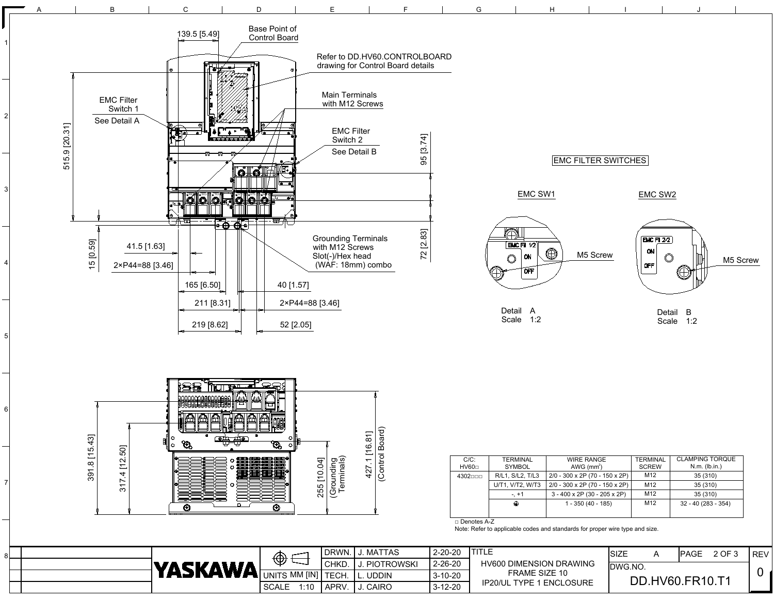